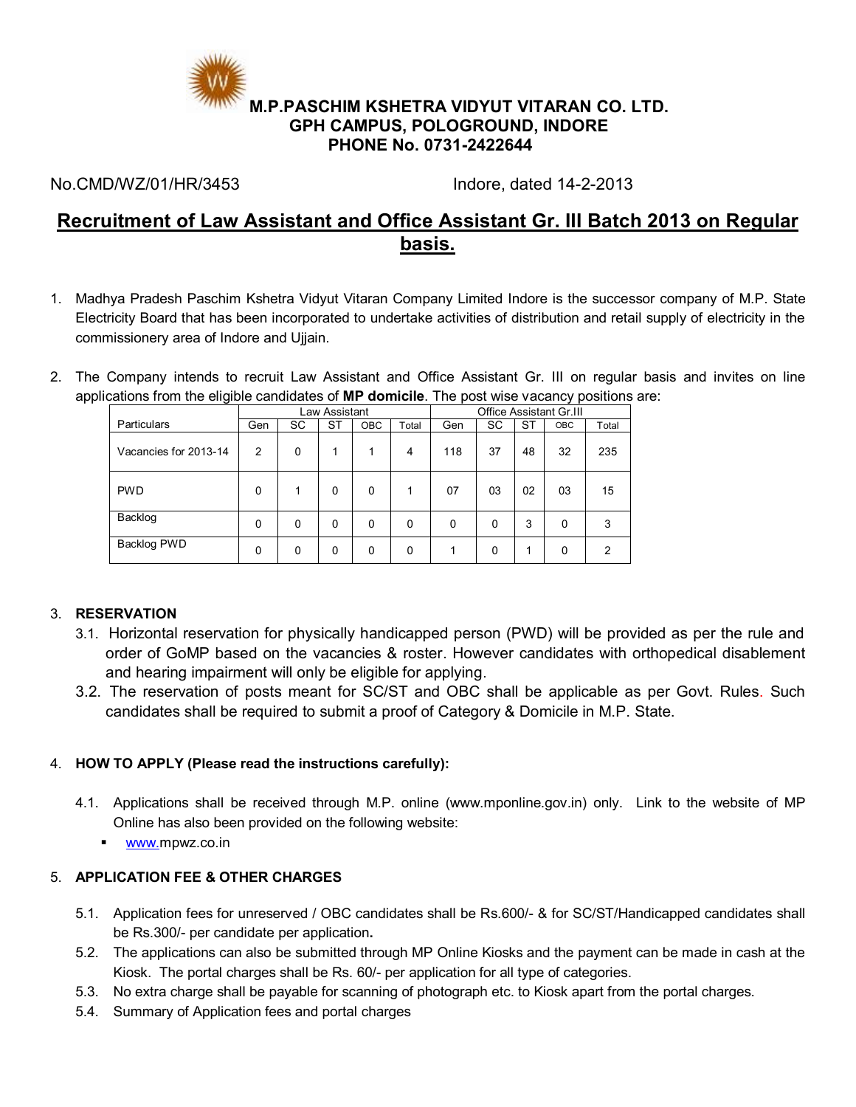

No.CMD/WZ/01/HR/3453 Indore, dated 14-2-2013

# **Recruitment of Law Assistant and Office Assistant Gr. III Batch 2013 on Regular basis.**

- 1. Madhya Pradesh Paschim Kshetra Vidyut Vitaran Company Limited Indore is the successor company of M.P. State Electricity Board that has been incorporated to undertake activities of distribution and retail supply of electricity in the commissionery area of Indore and Ujjain.
- 2. The Company intends to recruit Law Assistant and Office Assistant Gr. III on regular basis and invites on line applications from the eligible candidates of **MP domicile**. The post wise vacancy positions are:

|                       | Law Assistant  |           |           | <b>Office Assistant Gr.III</b> |       |          |    |           |            |                |
|-----------------------|----------------|-----------|-----------|--------------------------------|-------|----------|----|-----------|------------|----------------|
| <b>Particulars</b>    | Gen            | <b>SC</b> | <b>ST</b> | <b>OBC</b>                     | Total | Gen      | SC | <b>ST</b> | <b>OBC</b> | Total          |
| Vacancies for 2013-14 | $\overline{2}$ | 0         | 1         |                                | 4     | 118      | 37 | 48        | 32         | 235            |
| <b>PWD</b>            | $\Omega$       |           | 0         | $\Omega$                       |       | 07       | 03 | 02        | 03         | 15             |
| Backlog               | $\mathbf{0}$   | 0         | 0         | 0                              | 0     | $\Omega$ | 0  | 3         | $\Omega$   | 3              |
| Backlog PWD           | $\mathbf{0}$   | 0         | 0         | 0                              | 0     |          | 0  | ◢         | 0          | $\overline{2}$ |

# 3. **RESERVATION**

- 3.1. Horizontal reservation for physically handicapped person (PWD) will be provided as per the rule and order of GoMP based on the vacancies & roster. However candidates with orthopedical disablement and hearing impairment will only be eligible for applying.
- 3.2. The reservation of posts meant for SC/ST and OBC shall be applicable as per Govt. Rules. Such candidates shall be required to submit a proof of Category & Domicile in M.P. State.

# 4. **HOW TO APPLY (Please read the instructions carefully):**

- 4.1. Applications shall be received through M.P. online [\(www.mponline.gov.in\)](http://www.mponline.gov.in/) only. Link to the website of MP Online has also been provided on the following website:
	- **[www.m](http://www./)pwz.co.in**

# 5. **APPLICATION FEE & OTHER CHARGES**

- 5.1. Application fees for unreserved / OBC candidates shall be Rs.600/- & for SC/ST/Handicapped candidates shall be Rs.300/- per candidate per application**.**
- 5.2. The applications can also be submitted through MP Online Kiosks and the payment can be made in cash at the Kiosk. The portal charges shall be Rs. 60/- per application for all type of categories.
- 5.3. No extra charge shall be payable for scanning of photograph etc. to Kiosk apart from the portal charges.
- 5.4. Summary of Application fees and portal charges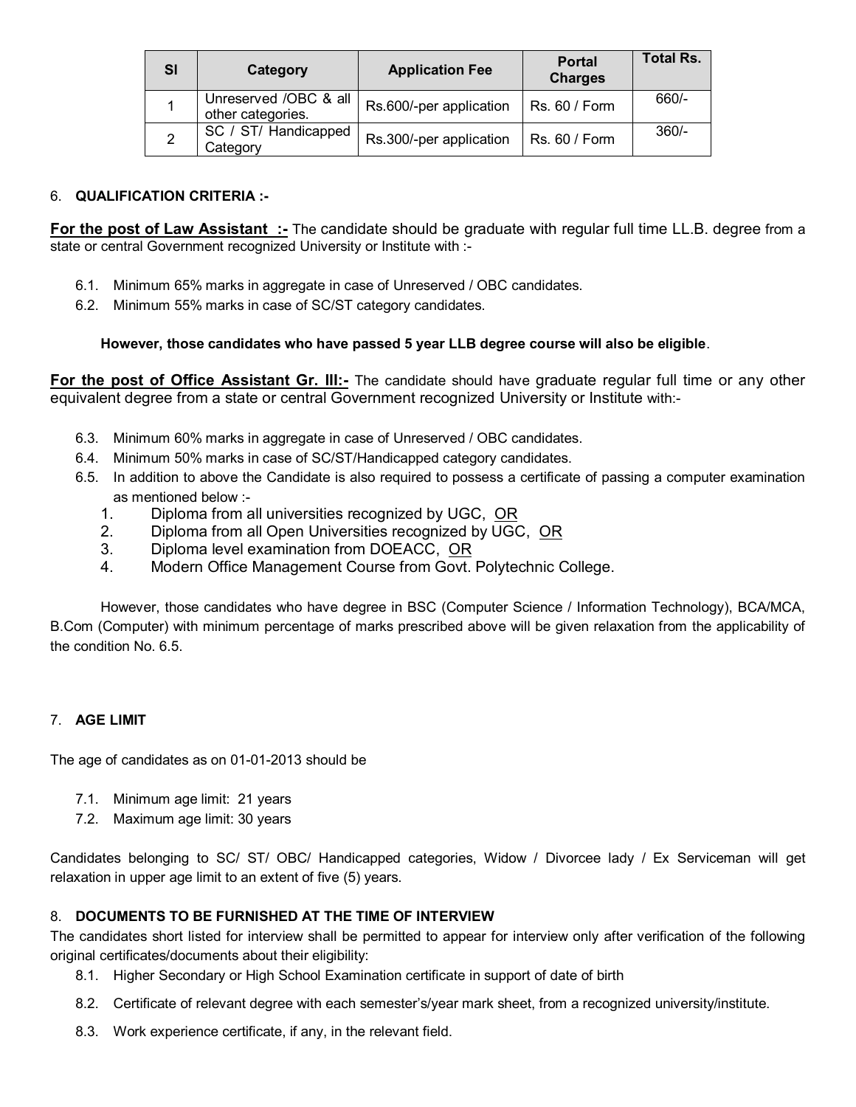| SI | Category                                   | <b>Application Fee</b>  | <b>Portal</b><br><b>Charges</b> | <b>Total Rs.</b> |
|----|--------------------------------------------|-------------------------|---------------------------------|------------------|
|    | Unreserved /OBC & all<br>other categories. | Rs.600/-per application | Rs. 60 / Form                   | $660/-$          |
| 2  | SC / ST/ Handicapped<br>Category           | Rs.300/-per application | Rs. 60 / Form                   | $360/-$          |

# 6. **QUALIFICATION CRITERIA :-**

**For the post of Law Assistant :-** The candidate should be graduate with regular full time LL.B. degree from a state or central Government recognized University or Institute with :-

- 6.1. Minimum 65% marks in aggregate in case of Unreserved / OBC candidates.
- 6.2. Minimum 55% marks in case of SC/ST category candidates.

### **However, those candidates who have passed 5 year LLB degree course will also be eligible**.

**For the post of Office Assistant Gr. III:-** The candidate should have graduate regular full time or any other equivalent degree from a state or central Government recognized University or Institute with:-

- 6.3. Minimum 60% marks in aggregate in case of Unreserved / OBC candidates.
- 6.4. Minimum 50% marks in case of SC/ST/Handicapped category candidates.
- 6.5. In addition to above the Candidate is also required to possess a certificate of passing a computer examination as mentioned below :-
	- 1. Diploma from all universities recognized by UGC, OR
	- 2. Diploma from all Open Universities recognized by UGC, OR
	- 3. Diploma level examination from DOEACC, OR
	- 4. Modern Office Management Course from Govt. Polytechnic College.

However, those candidates who have degree in BSC (Computer Science / Information Technology), BCA/MCA, B.Com (Computer) with minimum percentage of marks prescribed above will be given relaxation from the applicability of the condition No. 6.5.

### 7. **AGE LIMIT**

The age of candidates as on 01-01-2013 should be

- 7.1. Minimum age limit: 21 years
- 7.2. Maximum age limit: 30 years

Candidates belonging to SC/ ST/ OBC/ Handicapped categories, Widow / Divorcee lady / Ex Serviceman will get relaxation in upper age limit to an extent of five (5) years.

### 8. **DOCUMENTS TO BE FURNISHED AT THE TIME OF INTERVIEW**

The candidates short listed for interview shall be permitted to appear for interview only after verification of the following original certificates/documents about their eligibility:

- 8.1. Higher Secondary or High School Examination certificate in support of date of birth
- 8.2. Certificate of relevant degree with each semester's/year mark sheet, from a recognized university/institute.
- 8.3. Work experience certificate, if any, in the relevant field.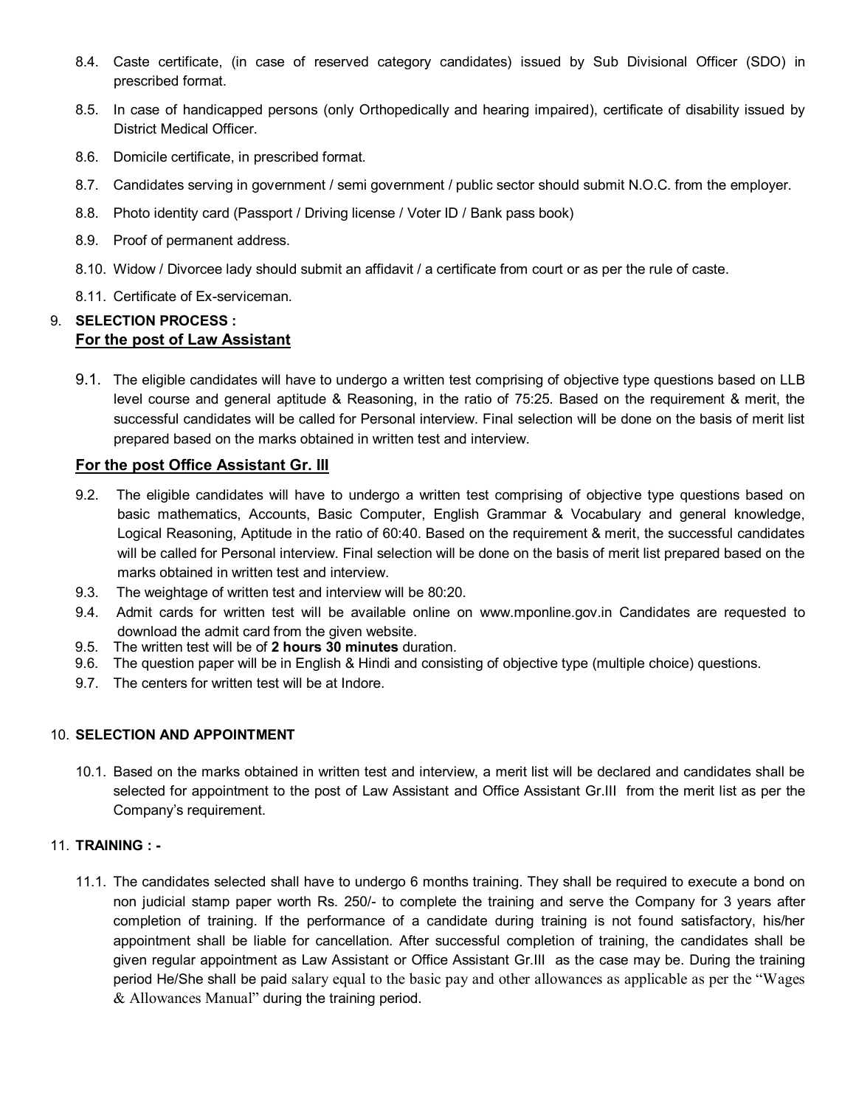- 8.4. Caste certificate, (in case of reserved category candidates) issued by Sub Divisional Officer (SDO) in prescribed format.
- 8.5. In case of handicapped persons (only Orthopedically and hearing impaired), certificate of disability issued by District Medical Officer.
- 8.6. Domicile certificate, in prescribed format.
- 8.7. Candidates serving in government / semi government / public sector should submit N.O.C. from the employer.
- 8.8. Photo identity card (Passport / Driving license / Voter ID / Bank pass book)
- 8.9. Proof of permanent address.
- 8.10. Widow / Divorcee lady should submit an affidavit / a certificate from court or as per the rule of caste.
- 8.11. Certificate of Ex-serviceman.

# 9. **SELECTION PROCESS : For the post of Law Assistant**

9.1. The eligible candidates will have to undergo a written test comprising of objective type questions based on LLB level course and general aptitude & Reasoning, in the ratio of 75:25. Based on the requirement & merit, the successful candidates will be called for Personal interview. Final selection will be done on the basis of merit list prepared based on the marks obtained in written test and interview.

# **For the post Office Assistant Gr. III**

- 9.2. The eligible candidates will have to undergo a written test comprising of objective type questions based on basic mathematics, Accounts, Basic Computer, English Grammar & Vocabulary and general knowledge, Logical Reasoning, Aptitude in the ratio of 60:40. Based on the requirement & merit, the successful candidates will be called for Personal interview. Final selection will be done on the basis of merit list prepared based on the marks obtained in written test and interview.
- 9.3. The weightage of written test and interview will be 80:20.
- 9.4. Admit cards for written test will be available online on www.mponline.gov.in Candidates are requested to download the admit card from the given website.
- 9.5. The written test will be of **2 hours 30 minutes** duration.
- 9.6. The question paper will be in English & Hindi and consisting of objective type (multiple choice) questions.
- 9.7. The centers for written test will be at Indore.

### 10. **SELECTION AND APPOINTMENT**

10.1. Based on the marks obtained in written test and interview, a merit list will be declared and candidates shall be selected for appointment to the post of Law Assistant and Office Assistant Gr.III from the merit list as per the Company's requirement.

### 11. **TRAINING : -**

11.1. The candidates selected shall have to undergo 6 months training. They shall be required to execute a bond on non judicial stamp paper worth Rs. 250/- to complete the training and serve the Company for 3 years after completion of training. If the performance of a candidate during training is not found satisfactory, his/her appointment shall be liable for cancellation. After successful completion of training, the candidates shall be given regular appointment as Law Assistant or Office Assistant Gr.III as the case may be. During the training period He/She shall be paid salary equal to the basic pay and other allowances as applicable as per the "Wages & Allowances Manual" during the training period.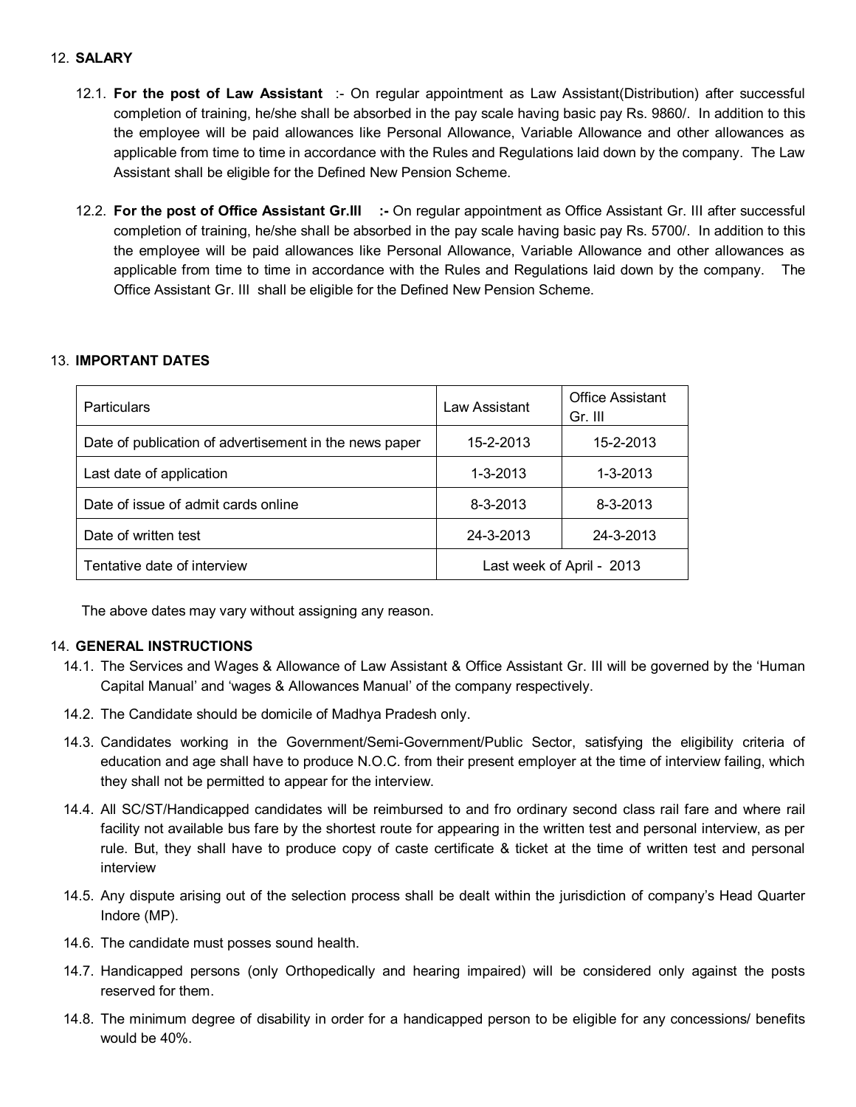### 12. **SALARY**

- 12.1. **For the post of Law Assistant** :- On regular appointment as Law Assistant(Distribution) after successful completion of training, he/she shall be absorbed in the pay scale having basic pay Rs. 9860/. In addition to this the employee will be paid allowances like Personal Allowance, Variable Allowance and other allowances as applicable from time to time in accordance with the Rules and Regulations laid down by the company. The Law Assistant shall be eligible for the Defined New Pension Scheme.
- 12.2. **For the post of Office Assistant Gr.III :-** On regular appointment as Office Assistant Gr. III after successful completion of training, he/she shall be absorbed in the pay scale having basic pay Rs. 5700/. In addition to this the employee will be paid allowances like Personal Allowance, Variable Allowance and other allowances as applicable from time to time in accordance with the Rules and Regulations laid down by the company. The Office Assistant Gr. III shall be eligible for the Defined New Pension Scheme.

### 13. **IMPORTANT DATES**

| <b>Particulars</b>                                     | Law Assistant             | <b>Office Assistant</b><br>Gr. III |  |
|--------------------------------------------------------|---------------------------|------------------------------------|--|
| Date of publication of advertisement in the news paper | 15-2-2013                 | 15-2-2013                          |  |
| Last date of application                               | $1 - 3 - 2013$            | $1 - 3 - 2013$                     |  |
| Date of issue of admit cards online                    | $8 - 3 - 2013$            | $8 - 3 - 2013$                     |  |
| Date of written test                                   | 24-3-2013                 | 24-3-2013                          |  |
| Tentative date of interview                            | Last week of April - 2013 |                                    |  |

The above dates may vary without assigning any reason.

### 14. **GENERAL INSTRUCTIONS**

- 14.1. The Services and Wages & Allowance of Law Assistant & Office Assistant Gr. III will be governed by the 'Human Capital Manual' and 'wages & Allowances Manual' of the company respectively.
- 14.2. The Candidate should be domicile of Madhya Pradesh only.
- 14.3. Candidates working in the Government/Semi-Government/Public Sector, satisfying the eligibility criteria of education and age shall have to produce N.O.C. from their present employer at the time of interview failing, which they shall not be permitted to appear for the interview.
- 14.4. All SC/ST/Handicapped candidates will be reimbursed to and fro ordinary second class rail fare and where rail facility not available bus fare by the shortest route for appearing in the written test and personal interview, as per rule. But, they shall have to produce copy of caste certificate & ticket at the time of written test and personal interview
- 14.5. Any dispute arising out of the selection process shall be dealt within the jurisdiction of company's Head Quarter Indore (MP).
- 14.6. The candidate must posses sound health.
- 14.7. Handicapped persons (only Orthopedically and hearing impaired) will be considered only against the posts reserved for them.
- 14.8. The minimum degree of disability in order for a handicapped person to be eligible for any concessions/ benefits would be 40%.